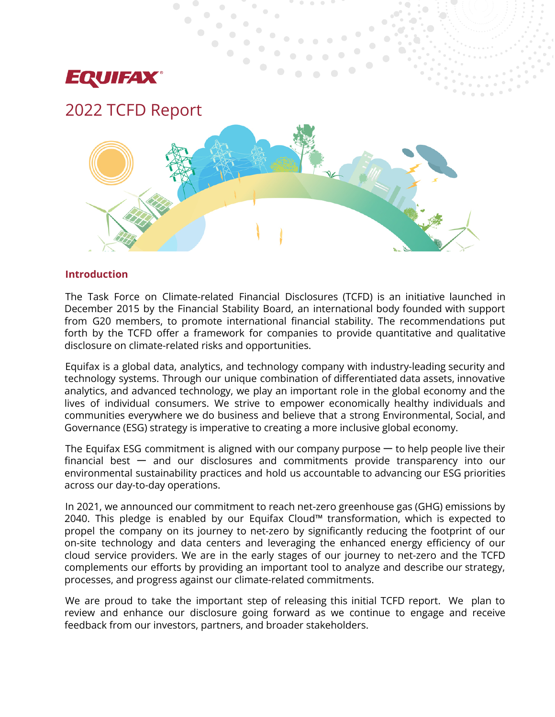

# 2022 TCFD Report



### **Introduction**

The Task Force on Climate-related Financial Disclosures (TCFD) is an initiative launched in December 2015 by the Financial Stability Board, an international body founded with support from G20 members, to promote international financial stability. The recommendations put forth by the TCFD offer a framework for companies to provide quantitative and qualitative disclosure on climate-related risks and opportunities.

Equifax is a global data, analytics, and technology company with industry-leading security and technology systems. Through our unique combination of differentiated data assets, innovative analytics, and advanced technology, we play an important role in the global economy and the lives of individual consumers. We strive to empower economically healthy individuals and communities everywhere we do business and believe that a strong Environmental, Social, and Governance (ESG) strategy is imperative to creating a more inclusive global economy.

The Equifax ESG commitment is aligned with our company purpose  $-$  to help people live their financial best  $-$  and our disclosures and commitments provide transparency into our environmental sustainability practices and hold us accountable to advancing our ESG priorities across our day-to-day operations.

In 2021, we announced our commitment to reach net-zero greenhouse gas (GHG) emissions by 2040. This pledge is enabled by our Equifax Cloud™ transformation, which is expected to propel the company on its journey to net-zero by significantly reducing the footprint of our on-site technology and data centers and leveraging the enhanced energy efficiency of our cloud service providers. We are in the early stages of our journey to net-zero and the TCFD complements our efforts by providing an important tool to analyze and describe our strategy, processes, and progress against our climate-related commitments.

We are proud to take the important step of releasing this initial TCFD report. We plan to review and enhance our disclosure going forward as we continue to engage and receive feedback from our investors, partners, and broader stakeholders.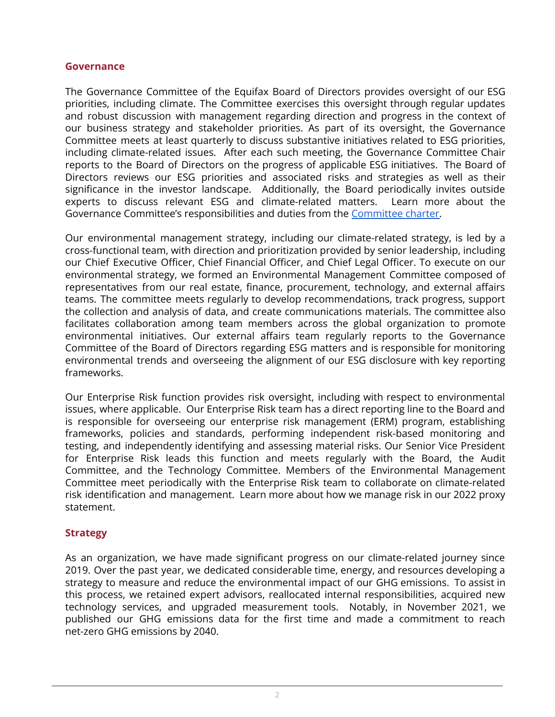### **Governance**

The Governance Committee of the Equifax Board of Directors provides oversight of our ESG priorities, including climate. The Committee exercises this oversight through regular updates and robust discussion with management regarding direction and progress in the context of our business strategy and stakeholder priorities. As part of its oversight, the Governance Committee meets at least quarterly to discuss substantive initiatives related to ESG priorities, including climate-related issues. After each such meeting, the Governance Committee Chair reports to the Board of Directors on the progress of applicable ESG initiatives. The Board of Directors reviews our ESG priorities and associated risks and strategies as well as their significance in the investor landscape. Additionally, the Board periodically invites outside experts to discuss relevant ESG and climate-related matters. Learn more about the Governance Committee's responsibilities and duties from the [Committee](https://www.equifax.com/about-equifax/corporate-governance/committee-charters/#Governance) charter.

Our environmental management strategy, including our climate-related strategy, is led by a cross-functional team, with direction and prioritization provided by senior leadership, including our Chief Executive Officer, Chief Financial Officer, and Chief Legal Officer. To execute on our environmental strategy, we formed an Environmental Management Committee composed of representatives from our real estate, finance, procurement, technology, and external affairs teams. The committee meets regularly to develop recommendations, track progress, support the collection and analysis of data, and create communications materials. The committee also facilitates collaboration among team members across the global organization to promote environmental initiatives. Our external affairs team regularly reports to the Governance Committee of the Board of Directors regarding ESG matters and is responsible for monitoring environmental trends and overseeing the alignment of our ESG disclosure with key reporting frameworks.

Our Enterprise Risk function provides risk oversight, including with respect to environmental issues, where applicable. Our Enterprise Risk team has a direct reporting line to the Board and is responsible for overseeing our enterprise risk management (ERM) program, establishing frameworks, policies and standards, performing independent risk-based monitoring and testing, and independently identifying and assessing material risks. Our Senior Vice President for Enterprise Risk leads this function and meets regularly with the Board, the Audit Committee, and the Technology Committee. Members of the Environmental Management Committee meet periodically with the Enterprise Risk team to collaborate on climate-related risk identification and management. Learn more about how we manage risk in our 2022 proxy statement.

## **Strategy**

As an organization, we have made significant progress on our climate-related journey since 2019. Over the past year, we dedicated considerable time, energy, and resources developing a strategy to measure and reduce the environmental impact of our GHG emissions. To assist in this process, we retained expert advisors, reallocated internal responsibilities, acquired new technology services, and upgraded measurement tools. Notably, in November 2021, we published our GHG emissions data for the first time and made a commitment to reach net-zero GHG emissions by 2040.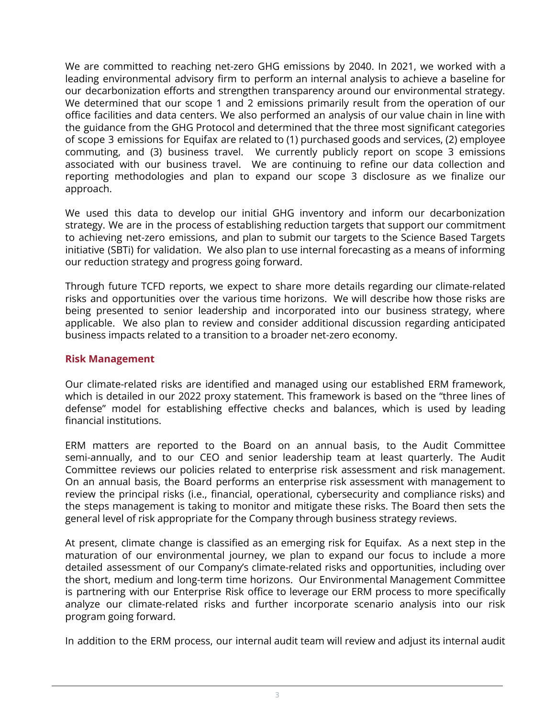We are committed to reaching net-zero GHG emissions by 2040. In 2021, we worked with a leading environmental advisory firm to perform an internal analysis to achieve a baseline for our decarbonization efforts and strengthen transparency around our environmental strategy. We determined that our scope 1 and 2 emissions primarily result from the operation of our office facilities and data centers. We also performed an analysis of our value chain in line with the guidance from the GHG Protocol and determined that the three most significant categories of scope 3 emissions for Equifax are related to (1) purchased goods and services, (2) employee commuting, and (3) business travel. We currently publicly report on scope 3 emissions associated with our business travel. We are continuing to refine our data collection and reporting methodologies and plan to expand our scope 3 disclosure as we finalize our approach.

We used this data to develop our initial GHG inventory and inform our decarbonization strategy. We are in the process of establishing reduction targets that support our commitment to achieving net-zero emissions, and plan to submit our targets to the Science Based Targets initiative (SBTi) for validation. We also plan to use internal forecasting as a means of informing our reduction strategy and progress going forward.

Through future TCFD reports, we expect to share more details regarding our climate-related risks and opportunities over the various time horizons. We will describe how those risks are being presented to senior leadership and incorporated into our business strategy, where applicable. We also plan to review and consider additional discussion regarding anticipated business impacts related to a transition to a broader net-zero economy.

## **Risk Management**

Our climate-related risks are identified and managed using our established ERM framework, which is detailed in our 2022 proxy statement. This framework is based on the "three lines of defense" model for establishing effective checks and balances, which is used by leading financial institutions.

ERM matters are reported to the Board on an annual basis, to the Audit Committee semi-annually, and to our CEO and senior leadership team at least quarterly. The Audit Committee reviews our policies related to enterprise risk assessment and risk management. On an annual basis, the Board performs an enterprise risk assessment with management to review the principal risks (i.e., financial, operational, cybersecurity and compliance risks) and the steps management is taking to monitor and mitigate these risks. The Board then sets the general level of risk appropriate for the Company through business strategy reviews.

At present, climate change is classified as an emerging risk for Equifax. As a next step in the maturation of our environmental journey, we plan to expand our focus to include a more detailed assessment of our Company's climate-related risks and opportunities, including over the short, medium and long-term time horizons. Our Environmental Management Committee is partnering with our Enterprise Risk office to leverage our ERM process to more specifically analyze our climate-related risks and further incorporate scenario analysis into our risk program going forward.

In addition to the ERM process, our internal audit team will review and adjust its internal audit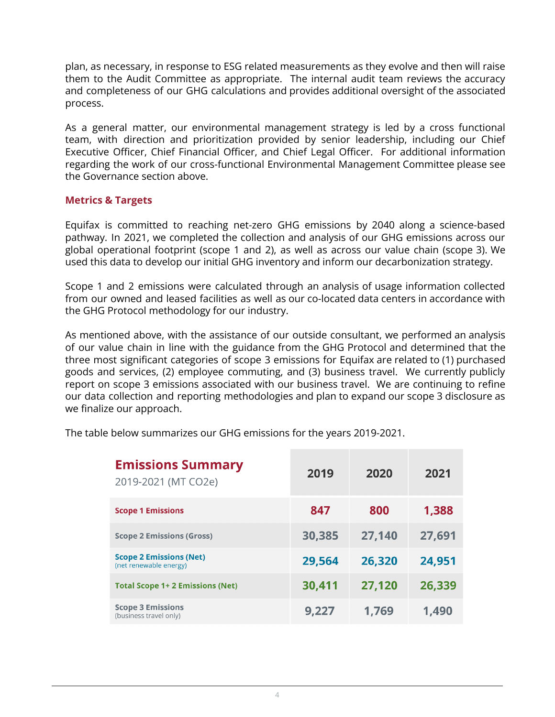plan, as necessary, in response to ESG related measurements as they evolve and then will raise them to the Audit Committee as appropriate. The internal audit team reviews the accuracy and completeness of our GHG calculations and provides additional oversight of the associated process.

As a general matter, our environmental management strategy is led by a cross functional team, with direction and prioritization provided by senior leadership, including our Chief Executive Officer, Chief Financial Officer, and Chief Legal Officer. For additional information regarding the work of our cross-functional Environmental Management Committee please see the Governance section above.

### **Metrics & Targets**

Equifax is committed to reaching net-zero GHG emissions by 2040 along a science-based pathway. In 2021, we completed the collection and analysis of our GHG emissions across our global operational footprint (scope 1 and 2), as well as across our value chain (scope 3). We used this data to develop our initial GHG inventory and inform our decarbonization strategy.

Scope 1 and 2 emissions were calculated through an analysis of usage information collected from our owned and leased facilities as well as our co-located data centers in accordance with the GHG Protocol methodology for our industry.

As mentioned above, with the assistance of our outside consultant, we performed an analysis of our value chain in line with the guidance from the GHG Protocol and determined that the three most significant categories of scope 3 emissions for Equifax are related to (1) purchased goods and services, (2) employee commuting, and (3) business travel. We currently publicly report on scope 3 emissions associated with our business travel. We are continuing to refine our data collection and reporting methodologies and plan to expand our scope 3 disclosure as we finalize our approach.

| <b>Emissions Summary</b><br>2019-2021 (MT CO2e)          | 2019   | 2020   | 2021   |
|----------------------------------------------------------|--------|--------|--------|
| <b>Scope 1 Emissions</b>                                 | 847    | 800    | 1,388  |
| <b>Scope 2 Emissions (Gross)</b>                         | 30,385 | 27,140 | 27,691 |
| <b>Scope 2 Emissions (Net)</b><br>(net renewable energy) | 29,564 | 26,320 | 24,951 |
| <b>Total Scope 1+ 2 Emissions (Net)</b>                  | 30,411 | 27,120 | 26,339 |
| <b>Scope 3 Emissions</b><br>(business travel only)       | 9,227  | 1,769  | 1,490  |

The table below summarizes our GHG emissions for the years 2019-2021.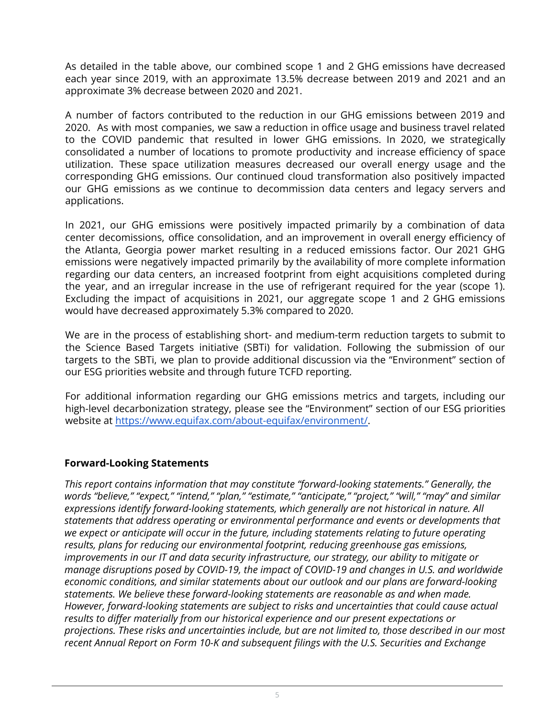As detailed in the table above, our combined scope 1 and 2 GHG emissions have decreased each year since 2019, with an approximate 13.5% decrease between 2019 and 2021 and an approximate 3% decrease between 2020 and 2021.

A number of factors contributed to the reduction in our GHG emissions between 2019 and 2020. As with most companies, we saw a reduction in office usage and business travel related to the COVID pandemic that resulted in lower GHG emissions. In 2020, we strategically consolidated a number of locations to promote productivity and increase efficiency of space utilization. These space utilization measures decreased our overall energy usage and the corresponding GHG emissions. Our continued cloud transformation also positively impacted our GHG emissions as we continue to decommission data centers and legacy servers and applications.

In 2021, our GHG emissions were positively impacted primarily by a combination of data center decomissions, office consolidation, and an improvement in overall energy efficiency of the Atlanta, Georgia power market resulting in a reduced emissions factor. Our 2021 GHG emissions were negatively impacted primarily by the availability of more complete information regarding our data centers, an increased footprint from eight acquisitions completed during the year, and an irregular increase in the use of refrigerant required for the year (scope 1). Excluding the impact of acquisitions in 2021, our aggregate scope 1 and 2 GHG emissions would have decreased approximately 5.3% compared to 2020.

We are in the process of establishing short- and medium-term reduction targets to submit to the Science Based Targets initiative (SBTi) for validation. Following the submission of our targets to the SBTi, we plan to provide additional discussion via the "Environment" section of our ESG priorities website and through future TCFD reporting.

For additional information regarding our GHG emissions metrics and targets, including our high-level decarbonization strategy, please see the "Environment" section of our ESG priorities website at [https://www.equifax.com/about-equifax/environment/.](https://www.equifax.com/about-equifax/environment/)

## **Forward-Looking Statements**

*This report contains information that may constitute "forward-looking statements." Generally, the words "believe," "expect," "intend," "plan," "estimate," "anticipate," "project," "will," "may" and similar expressions identify forward-looking statements, which generally are not historical in nature. All statements that address operating or environmental performance and events or developments that we expect or anticipate will occur in the future, including statements relating to future operating results, plans for reducing our environmental footprint, reducing greenhouse gas emissions, improvements in our IT and data security infrastructure, our strategy, our ability to mitigate or manage disruptions posed by COVID-19, the impact of COVID-19 and changes in U.S. and worldwide economic conditions, and similar statements about our outlook and our plans are forward-looking statements. We believe these forward-looking statements are reasonable as and when made. However, forward-looking statements are subject to risks and uncertainties that could cause actual results to differ materially from our historical experience and our present expectations or projections. These risks and uncertainties include, but are not limited to, those described in our most recent Annual Report on Form 10-K and subsequent filings with the U.S. Securities and Exchange*